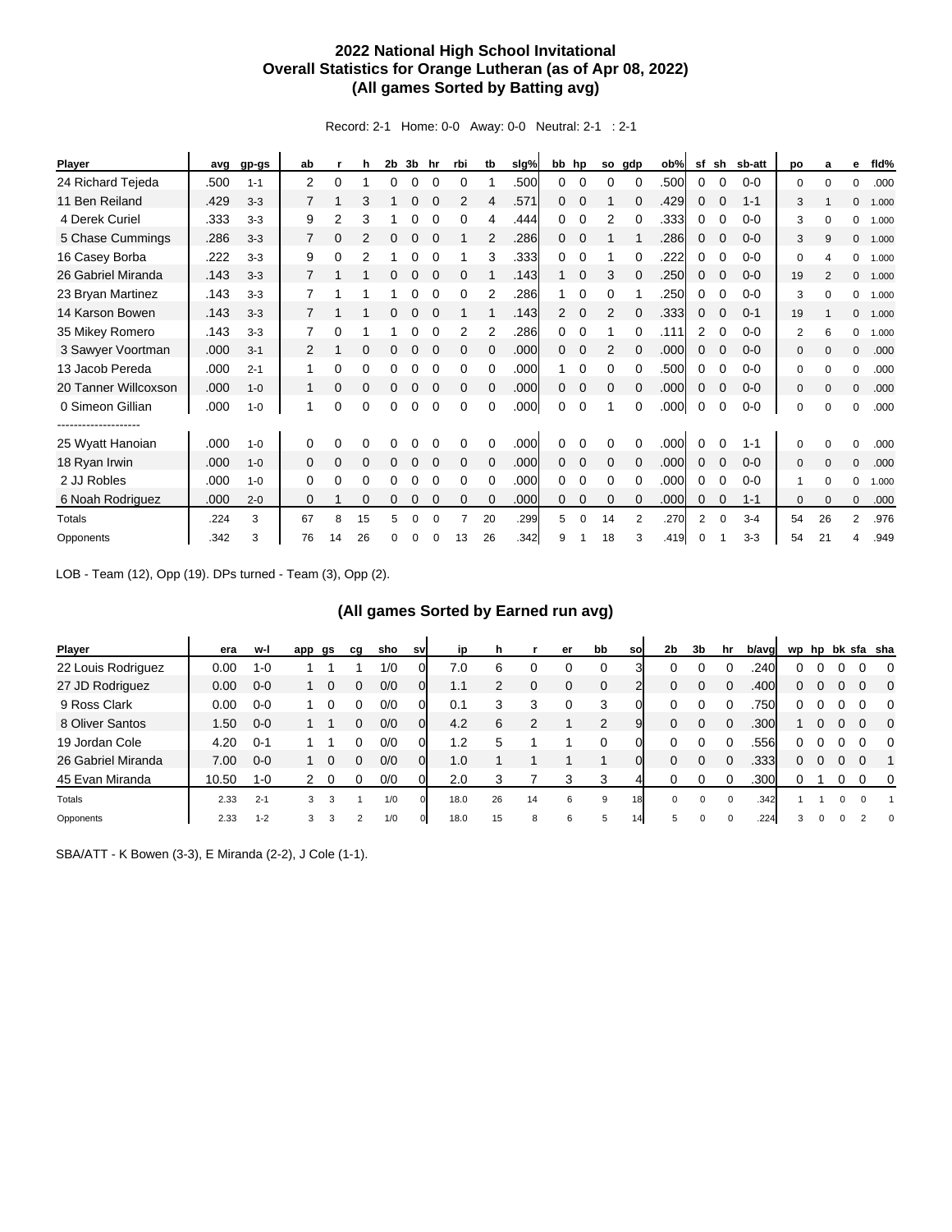## **2022 National High School Invitational Overall Statistics for Orange Lutheran (as of Apr 08, 2022) (All games Sorted by Batting avg)**

Record: 2-1 Home: 0-0 Away: 0-0 Neutral: 2-1 : 2-1

| Player                                   | avg  | gp-gs   | ab           |    | h        | 2b       | 3b | hr       | rbi          | tb       | slg% | bb hp          |             | so           | gdp      | ob%  | sf       | sh       | sb-att  | po           | a        | е            | fld%  |
|------------------------------------------|------|---------|--------------|----|----------|----------|----|----------|--------------|----------|------|----------------|-------------|--------------|----------|------|----------|----------|---------|--------------|----------|--------------|-------|
| 24 Richard Tejeda                        | .500 | $1 - 1$ | 2            | 0  |          | 0        | 0  | $\Omega$ | 0            |          | .500 | 0              | 0           | 0            | $\Omega$ | .500 | 0        | $\Omega$ | $0 - 0$ | 0            | $\Omega$ | 0            | .000  |
| 11 Ben Reiland                           | .429 | $3 - 3$ | 7            | 1  | 3        |          | 0  |          | 2            | 4        | .571 | $\Omega$       | $\mathbf 0$ |              |          | .429 | 0        |          | $1 - 1$ | 3            |          | $\Omega$     | 1.000 |
| 4 Derek Curiel                           | .333 | $3 - 3$ | 9            | 2  | 3        |          | 0  |          | 0            | 4        | .444 | 0              | 0           | 2            |          | .333 | 0        |          | $0 - 0$ | 3            | $\Omega$ | 0            | 1.000 |
| 5 Chase Cummings                         | .286 | $3 - 3$ | 7            | 0  | 2        | 0        | 0  |          |              | 2        | .286 | $\Omega$       | $\Omega$    |              |          | .286 | 0        |          | $0 - 0$ | 3            | 9        | $\mathbf{0}$ | 1.000 |
| 16 Casey Borba                           | .222 | $3 - 3$ | 9            | 0  | 2        |          | 0  |          |              | 3        | .333 | 0              | $\Omega$    |              | 0        | .222 | 0        |          | $0 - 0$ | 0            | Δ        | 0            | 1.000 |
| 26 Gabriel Miranda                       | .143 | $3 - 3$ | 7            |    |          | 0        | 0  |          |              |          | .143 |                | $\mathbf 0$ | 3            |          | .250 | 0        |          | $0 - 0$ | 19           | 2        | $\mathbf{0}$ | 1.000 |
| 23 Bryan Martinez                        | .143 | $3 - 3$ | 7            |    |          |          | ი  |          | 0            | 2        | .286 |                | 0           | 0            |          | .250 | 0        |          | $0 - 0$ | 3            | $\Omega$ | 0            | 1.000 |
| 14 Karson Bowen                          | .143 | $3 - 3$ | 7            |    |          | 0        | 0  |          |              |          | .143 | $\overline{2}$ | $\Omega$    | 2            | $\Omega$ | .333 | 0        |          | $0 - 1$ | 19           |          | $\mathbf{0}$ | 1.000 |
| 35 Mikey Romero                          | .143 | $3 - 3$ |              | 0  |          |          | 0  |          | 2            | 2        | .286 | 0              | $\Omega$    |              | 0        | .111 | 2        | 0        | $0 - 0$ | 2            | 6        | 0            | 1.000 |
| 3 Sawyer Voortman                        | .000 | $3 - 1$ | 2            | 1  | $\Omega$ | 0        | 0  |          | $\Omega$     | $\Omega$ | .000 | $\Omega$       | $\mathbf 0$ | 2            |          | .000 | 0        |          | $0 - 0$ | $\mathbf{0}$ | $\Omega$ | $\mathbf{0}$ | .000  |
| 13 Jacob Pereda                          | .000 | $2 - 1$ | 1            | 0  | 0        | 0        | 0  |          | 0            | $\Omega$ | .000 |                | $\Omega$    | 0            | $\Omega$ | .500 | 0        |          | $0 - 0$ | 0            | $\Omega$ | $\Omega$     | .000  |
| 20 Tanner Willcoxson                     | .000 | $1 - 0$ | 1            | 0  | $\Omega$ |          | 0  |          | $\Omega$     | $\Omega$ | .000 | 0              | 0           | 0            | $\Omega$ | .000 | 0        |          | $0 - 0$ | $\mathbf{0}$ | $\Omega$ | $\mathbf{0}$ | .000  |
| 0 Simeon Gillian                         | .000 | $1 - 0$ | 1            | 0  | 0        | 0        | 0  | $\Omega$ | $\Omega$     | 0        | .000 | 0              | $\Omega$    | 1            | $\Omega$ | .000 | 0        | 0        | $0 - 0$ | 0            | $\Omega$ | 0            | .000  |
| --------------------<br>25 Wyatt Hanoian | .000 | $1 - 0$ | 0            | 0  | 0        | 0        | 0  |          | 0            | $\Omega$ | .000 | 0              | 0           | 0            | $\Omega$ | .000 | 0        | $\Omega$ | $1 - 1$ | 0            | $\Omega$ | $\Omega$     | .000  |
| 18 Ryan Irwin                            | .000 | $1 - 0$ | $\mathbf{0}$ | 0  | 0        | 0        | 0  |          | $\mathbf{0}$ | $\Omega$ | .000 | $\Omega$       | $\mathbf 0$ | $\mathbf{0}$ | $\Omega$ | .000 | 0        | $\Omega$ | $0 - 0$ | $\mathbf{0}$ | $\Omega$ | $\mathbf{0}$ | .000  |
| 2 JJ Robles                              | .000 | $1 - 0$ | 0            | 0  | 0        | 0        | 0  | 0        | 0            | $\Omega$ | .000 | 0              | 0           | 0            | 0        | .000 | 0        | 0        | $0 - 0$ | 1            | $\Omega$ | 0            | 1.000 |
| 6 Noah Rodriguez                         | .000 | $2 - 0$ | $\Omega$     | 1  | 0        | 0        | 0  | 0        | 0            | $\Omega$ | .000 | 0              | $\mathbf 0$ | $\mathbf 0$  | $\Omega$ | .000 | 0        | $\Omega$ | $1 - 1$ | $\mathbf{0}$ | $\Omega$ | $\mathbf{0}$ | .000  |
| Totals                                   | .224 | 3       | 67           | 8  | 15       | 5        | 0  |          |              | 20       | .299 | 5              | 0           | 14           |          | .270 | 2        | $\Omega$ | $3 - 4$ | 54           | 26       | 2            | .976  |
| Opponents                                | .342 | 3       | 76           | 14 | 26       | $\Omega$ | U  |          | 13           | 26       | .342 | 9              |             | 18           | 3        | .419 | $\Omega$ |          | $3 - 3$ | 54           | 21       | 4            | .949  |

LOB - Team (12), Opp (19). DPs turned - Team (3), Opp (2).

## **(All games Sorted by Earned run avg)**

| <b>Player</b>      | era   | w-l     | app           | gs           | cq             | sho | sv             | ip   | h  |             | er | bb          | so | 2b | 3b | hr       | b/avg | wp |          |   |          | hp bk sfa sha            |
|--------------------|-------|---------|---------------|--------------|----------------|-----|----------------|------|----|-------------|----|-------------|----|----|----|----------|-------|----|----------|---|----------|--------------------------|
| 22 Louis Rodriguez | 0.00  | $1 - 0$ |               |              |                | 1/0 |                | 7.0  | 6  |             |    | $\Omega$    |    |    |    |          | .240  |    |          |   |          | $\Omega$                 |
| 27 JD Rodriguez    | 0.00  | $0 - 0$ |               | 0            |                | 0/0 |                | 1.1  |    | $\mathbf 0$ | 0  | $\mathbf 0$ |    | 0  | 0  |          | .400  | 0  |          |   |          | $\overline{\phantom{0}}$ |
| 9 Ross Clark       | 0.00  | $0 - 0$ |               |              |                | 0/0 |                | 0.1  | 3  | 3           |    | 3           |    |    |    |          | .750  |    |          |   |          | $\Omega$                 |
| 8 Oliver Santos    | 50. ا | $0 - 0$ |               |              |                | 0/0 | $\overline{0}$ | 4.2  | 6  | っ           |    | 2           | 9  | 0  | 0  | 0        | .300  |    |          |   | $\Omega$ | $\Omega$                 |
| 19 Jordan Cole     | 4.20  | $0 - 1$ |               |              |                | 0/0 |                | 2. ا | 5  |             |    |             |    |    |    |          | .556  | 0  |          |   | $\Omega$ | $\overline{0}$           |
| 26 Gabriel Miranda | 7.00  | $0 - 0$ |               | $\mathbf{0}$ | 0              | 0/0 |                | 1.0  |    |             |    |             |    |    |    |          | .333  | 0  |          |   |          |                          |
| 45 Evan Miranda    | 10.50 | $1 - 0$ | $\mathcal{P}$ | 0            |                | 0/0 |                | 2.0  | 3  |             | 3  | 3           |    |    |    |          | .300  |    |          |   | $\Omega$ | $\overline{0}$           |
| Totals             | 2.33  | $2 - 1$ | 3             | 3            |                | 1/0 | $\Omega$       | 18.0 | 26 | 14          | 6  | 9           | 18 | 0  | 0  | $\Omega$ | .342  |    |          | 0 | $\Omega$ | 1                        |
| Opponents          | 2.33  | $1 - 2$ | 3             | 3            | $\overline{2}$ | 1/0 | $\mathbf 0$    | 18.0 | 15 | 8           | 6  | 5           | 14 | 5  | 0  |          | .224  | 3  | $\Omega$ |   |          | $\mathbf{0}$             |

SBA/ATT - K Bowen (3-3), E Miranda (2-2), J Cole (1-1).